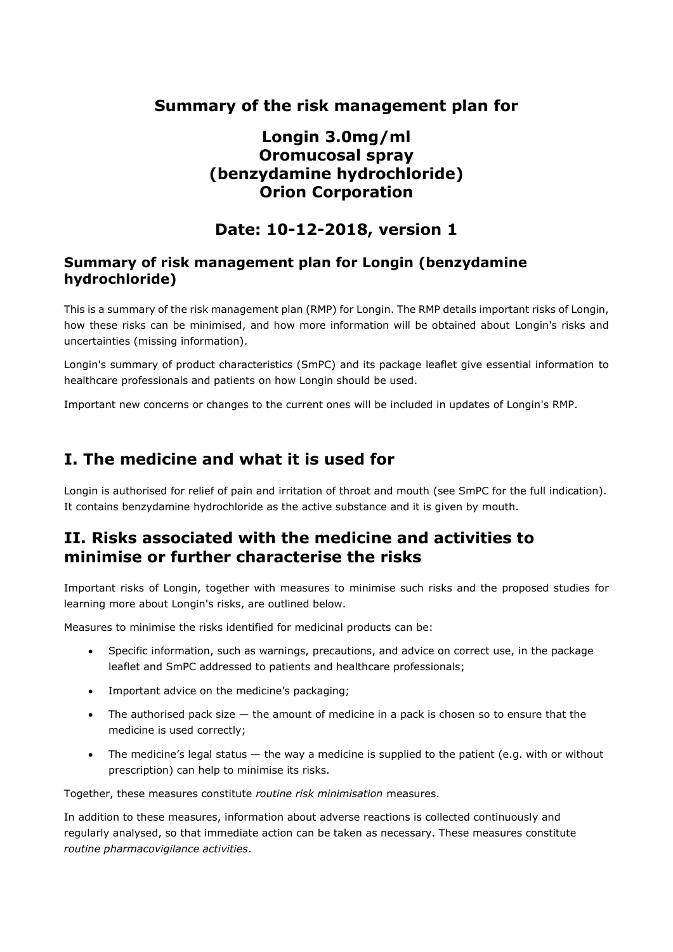## **Summary of the risk management plan for**

# **Longin 3.0mg/ml Oromucosal spray (benzydamine hydrochloride) Orion Corporation**

# **Date: 10-12-2018, version 1**

### **Summary of risk management plan for Longin (benzydamine hydrochloride)**

This is a summary of the risk management plan (RMP) for Longin. The RMP details important risks of Longin, how these risks can be minimised, and how more information will be obtained about Longin's risks and uncertainties (missing information).

Longin's summary of product characteristics (SmPC) and its package leaflet give essential information to healthcare professionals and patients on how Longin should be used.

Important new concerns or changes to the current ones will be included in updates of Longin's RMP.

# **I. The medicine and what it is used for**

Longin is authorised for relief of pain and irritation of throat and mouth (see SmPC for the full indication). It contains benzydamine hydrochloride as the active substance and it is given by mouth.

# **II. Risks associated with the medicine and activities to minimise or further characterise the risks**

Important risks of Longin, together with measures to minimise such risks and the proposed studies for learning more about Longin's risks, are outlined below.

Measures to minimise the risks identified for medicinal products can be:

- Specific information, such as warnings, precautions, and advice on correct use, in the package leaflet and SmPC addressed to patients and healthcare professionals;
- Important advice on the medicine's packaging;
- The authorised pack size  $-$  the amount of medicine in a pack is chosen so to ensure that the medicine is used correctly;
- The medicine's legal status the way a medicine is supplied to the patient (e.g. with or without prescription) can help to minimise its risks.

Together, these measures constitute *routine risk minimisation* measures.

In addition to these measures, information about adverse reactions is collected continuously and regularly analysed, so that immediate action can be taken as necessary. These measures constitute *routine pharmacovigilance activities*.